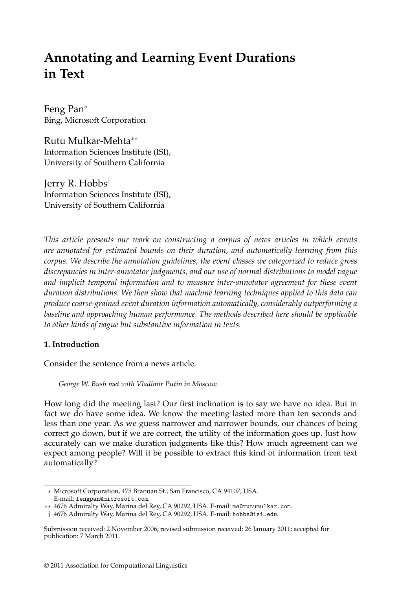# **Annotating and Learning Event Durations in Text**

Feng Pan<sup>∗</sup> Bing, Microsoft Corporation

Rutu Mulkar-Mehta∗∗ Information Sciences Institute (ISI), University of Southern California

Jerry R. Hobbs† Information Sciences Institute (ISI), University of Southern California

*This article presents our work on constructing a corpus of news articles in which events are annotated for estimated bounds on their duration, and automatically learning from this corpus. We describe the annotation guidelines, the event classes we categorized to reduce gross discrepancies in inter-annotator judgments, and our use of normal distributions to model vague and implicit temporal information and to measure inter-annotator agreement for these event duration distributions. We then show that machine learning techniques applied to this data can produce coarse-grained event duration information automatically, considerably outperforming a baseline and approaching human performance. The methods described here should be applicable to other kinds of vague but substantive information in texts.*

# **1. Introduction**

Consider the sentence from a news article:

*George W. Bush met with Vladimir Putin in Moscow.*

How long did the meeting last? Our first inclination is to say we have no idea. But in fact we do have some idea. We know the meeting lasted more than ten seconds and less than one year. As we guess narrower and narrower bounds, our chances of being correct go down, but if we are correct, the utility of the information goes up. Just how accurately can we make duration judgments like this? How much agreement can we expect among people? Will it be possible to extract this kind of information from text automatically?

<sup>∗</sup> Microsoft Corporation, 475 Brannan St., San Francisco, CA 94107, USA. E-mail: fengpan@microsoft.com.

<sup>∗∗</sup> 4676 Admiralty Way, Marina del Rey, CA 90292, USA. E-mail: me@rutumulkar.com.

<sup>†</sup> 4676 Admiralty Way, Marina del Rey, CA 90292, USA. E-mail: hobbs@isi.edu.

Submission received: 2 November 2006; revised submission received: 26 January 2011; accepted for publication: 7 March 2011.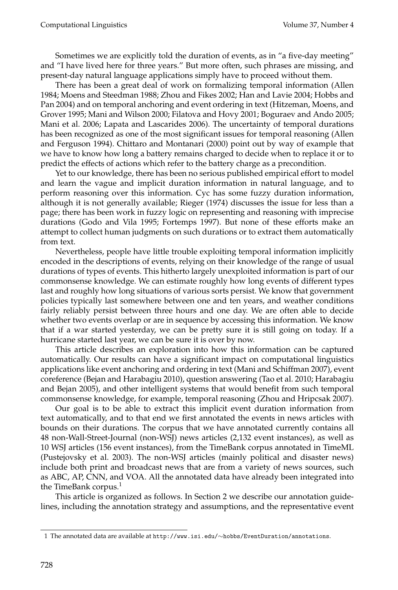Sometimes we are explicitly told the duration of events, as in "a five-day meeting" and "I have lived here for three years." But more often, such phrases are missing, and present-day natural language applications simply have to proceed without them.

There has been a great deal of work on formalizing temporal information (Allen 1984; Moens and Steedman 1988; Zhou and Fikes 2002; Han and Lavie 2004; Hobbs and Pan 2004) and on temporal anchoring and event ordering in text (Hitzeman, Moens, and Grover 1995; Mani and Wilson 2000; Filatova and Hovy 2001; Boguraev and Ando 2005; Mani et al. 2006; Lapata and Lascarides 2006). The uncertainty of temporal durations has been recognized as one of the most significant issues for temporal reasoning (Allen and Ferguson 1994). Chittaro and Montanari (2000) point out by way of example that we have to know how long a battery remains charged to decide when to replace it or to predict the effects of actions which refer to the battery charge as a precondition.

Yet to our knowledge, there has been no serious published empirical effort to model and learn the vague and implicit duration information in natural language, and to perform reasoning over this information. Cyc has some fuzzy duration information, although it is not generally available; Rieger (1974) discusses the issue for less than a page; there has been work in fuzzy logic on representing and reasoning with imprecise durations (Godo and Vila 1995; Fortemps 1997). But none of these efforts make an attempt to collect human judgments on such durations or to extract them automatically from text.

Nevertheless, people have little trouble exploiting temporal information implicitly encoded in the descriptions of events, relying on their knowledge of the range of usual durations of types of events. This hitherto largely unexploited information is part of our commonsense knowledge. We can estimate roughly how long events of different types last and roughly how long situations of various sorts persist. We know that government policies typically last somewhere between one and ten years, and weather conditions fairly reliably persist between three hours and one day. We are often able to decide whether two events overlap or are in sequence by accessing this information. We know that if a war started yesterday, we can be pretty sure it is still going on today. If a hurricane started last year, we can be sure it is over by now.

This article describes an exploration into how this information can be captured automatically. Our results can have a significant impact on computational linguistics applications like event anchoring and ordering in text (Mani and Schiffman 2007), event coreference (Bejan and Harabagiu 2010), question answering (Tao et al. 2010; Harabagiu and Bejan 2005), and other intelligent systems that would benefit from such temporal commonsense knowledge, for example, temporal reasoning (Zhou and Hripcsak 2007).

Our goal is to be able to extract this implicit event duration information from text automatically, and to that end we first annotated the events in news articles with bounds on their durations. The corpus that we have annotated currently contains all 48 non-Wall-Street-Journal (non-WSJ) news articles (2,132 event instances), as well as 10 WSJ articles (156 event instances), from the TimeBank corpus annotated in TimeML (Pustejovsky et al. 2003). The non-WSJ articles (mainly political and disaster news) include both print and broadcast news that are from a variety of news sources, such as ABC, AP, CNN, and VOA. All the annotated data have already been integrated into the TimeBank corpus.<sup>1</sup>

This article is organized as follows. In Section 2 we describe our annotation guidelines, including the annotation strategy and assumptions, and the representative event

<sup>1</sup> The annotated data are available at http://www.isi.edu/∼hobbs/EventDuration/annotations.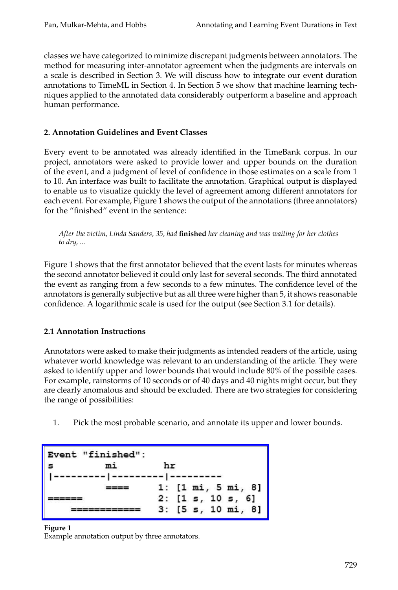classes we have categorized to minimize discrepant judgments between annotators. The method for measuring inter-annotator agreement when the judgments are intervals on a scale is described in Section 3. We will discuss how to integrate our event duration annotations to TimeML in Section 4. In Section 5 we show that machine learning techniques applied to the annotated data considerably outperform a baseline and approach human performance.

## **2. Annotation Guidelines and Event Classes**

Every event to be annotated was already identified in the TimeBank corpus. In our project, annotators were asked to provide lower and upper bounds on the duration of the event, and a judgment of level of confidence in those estimates on a scale from 1 to 10. An interface was built to facilitate the annotation. Graphical output is displayed to enable us to visualize quickly the level of agreement among different annotators for each event. For example, Figure 1 shows the output of the annotations (three annotators) for the "finished" event in the sentence:

*After the victim, Linda Sanders, 35, had* **finished** *her cleaning and was waiting for her clothes to dry, ...*

Figure 1 shows that the first annotator believed that the event lasts for minutes whereas the second annotator believed it could only last for several seconds. The third annotated the event as ranging from a few seconds to a few minutes. The confidence level of the annotators is generally subjective but as all three were higher than 5, it shows reasonable confidence. A logarithmic scale is used for the output (see Section 3.1 for details).

## **2.1 Annotation Instructions**

Annotators were asked to make their judgments as intended readers of the article, using whatever world knowledge was relevant to an understanding of the article. They were asked to identify upper and lower bounds that would include 80% of the possible cases. For example, rainstorms of 10 seconds or of 40 days and 40 nights might occur, but they are clearly anomalous and should be excluded. There are two strategies for considering the range of possibilities:

[1. Pick the most probable scenario, and annotate its uppe](http://www.mitpressjournals.org/action/showImage?doi=10.1162/COLI_a_00075&iName=master.img-000.jpg&w=272&h=87)r and lower bounds.

|   | Event "finished": |    |  |                     |  |
|---|-------------------|----|--|---------------------|--|
| s | mi                | hr |  |                     |  |
|   |                   |    |  |                     |  |
|   |                   |    |  | 1: [1 m1, 5 m1, 8]  |  |
|   |                   |    |  | 2: [1 s, 10 s, 6]   |  |
|   |                   |    |  | 3: [5 s, 10 m i, 8] |  |

**Figure 1** Example annotation output by three annotators.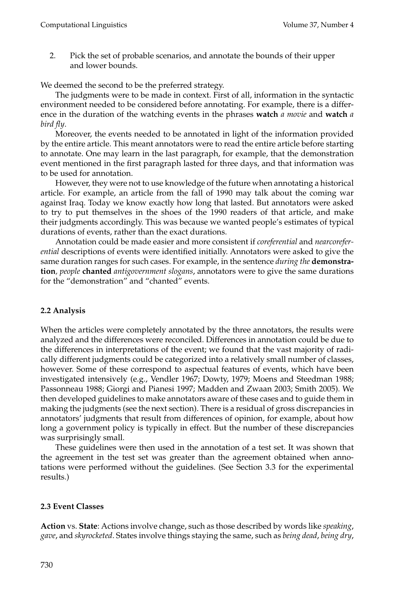2. Pick the set of probable scenarios, and annotate the bounds of their upper and lower bounds.

We deemed the second to be the preferred strategy.

The judgments were to be made in context. First of all, information in the syntactic environment needed to be considered before annotating. For example, there is a difference in the duration of the watching events in the phrases **watch** *a movie* and **watch** *a bird fly*.

Moreover, the events needed to be annotated in light of the information provided by the entire article. This meant annotators were to read the entire article before starting to annotate. One may learn in the last paragraph, for example, that the demonstration event mentioned in the first paragraph lasted for three days, and that information was to be used for annotation.

However, they were not to use knowledge of the future when annotating a historical article. For example, an article from the fall of 1990 may talk about the coming war against Iraq. Today we know exactly how long that lasted. But annotators were asked to try to put themselves in the shoes of the 1990 readers of that article, and make their judgments accordingly. This was because we wanted people's estimates of typical durations of events, rather than the exact durations.

Annotation could be made easier and more consistent if *coreferential* and *nearcoreferential* descriptions of events were identified initially. Annotators were asked to give the same duration ranges for such cases. For example, in the sentence *during the* **demonstration***, people* **chanted** *antigovernment slogans*, annotators were to give the same durations for the "demonstration" and "chanted" events.

# **2.2 Analysis**

When the articles were completely annotated by the three annotators, the results were analyzed and the differences were reconciled. Differences in annotation could be due to the differences in interpretations of the event; we found that the vast majority of radically different judgments could be categorized into a relatively small number of classes, however. Some of these correspond to aspectual features of events, which have been investigated intensively (e.g., Vendler 1967; Dowty, 1979; Moens and Steedman 1988; Passonneau 1988; Giorgi and Pianesi 1997; Madden and Zwaan 2003; Smith 2005). We then developed guidelines to make annotators aware of these cases and to guide them in making the judgments (see the next section). There is a residual of gross discrepancies in annotators' judgments that result from differences of opinion, for example, about how long a government policy is typically in effect. But the number of these discrepancies was surprisingly small.

These guidelines were then used in the annotation of a test set. It was shown that the agreement in the test set was greater than the agreement obtained when annotations were performed without the guidelines. (See Section 3.3 for the experimental results.)

# **2.3 Event Classes**

**Action** vs. **State**: Actions involve change, such as those described by words like *speaking*, *gave*, and *skyrocketed*. States involve things staying the same, such as *being dead*, *being dry*,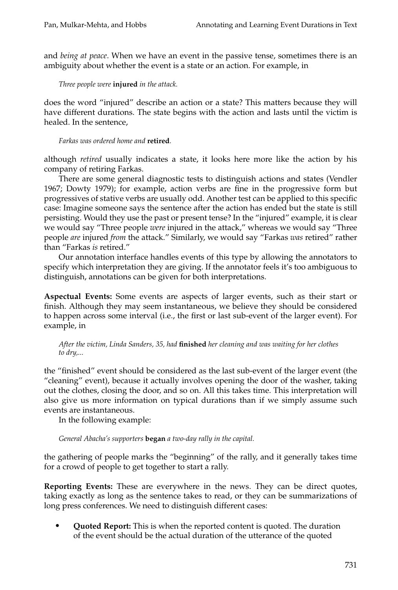and *being at peace*. When we have an event in the passive tense, sometimes there is an ambiguity about whether the event is a state or an action. For example, in

*Three people were* **injured** *in the attack.*

does the word "injured" describe an action or a state? This matters because they will have different durations. The state begins with the action and lasts until the victim is healed. In the sentence,

*Farkas was ordered home and* **retired***.*

although *retired* usually indicates a state, it looks here more like the action by his company of retiring Farkas.

There are some general diagnostic tests to distinguish actions and states (Vendler 1967; Dowty 1979); for example, action verbs are fine in the progressive form but progressives of stative verbs are usually odd. Another test can be applied to this specific case: Imagine someone says the sentence after the action has ended but the state is still persisting. Would they use the past or present tense? In the "injured" example, it is clear we would say "Three people *were* injured in the attack," whereas we would say "Three people *are* injured *from* the attack." Similarly, we would say "Farkas *was* retired" rather than "Farkas *is* retired."

Our annotation interface handles events of this type by allowing the annotators to specify which interpretation they are giving. If the annotator feels it's too ambiguous to distinguish, annotations can be given for both interpretations.

**Aspectual Events:** Some events are aspects of larger events, such as their start or finish. Although they may seem instantaneous, we believe they should be considered to happen across some interval (i.e., the first or last sub-event of the larger event). For example, in

*After the victim, Linda Sanders, 35, had* **finished** *her cleaning and was waiting for her clothes to dry,...*

the "finished" event should be considered as the last sub-event of the larger event (the "cleaning" event), because it actually involves opening the door of the washer, taking out the clothes, closing the door, and so on. All this takes time. This interpretation will also give us more information on typical durations than if we simply assume such events are instantaneous.

In the following example:

*General Abacha's supporters* **began** *a two-day rally in the capital.*

the gathering of people marks the "beginning" of the rally, and it generally takes time for a crowd of people to get together to start a rally.

**Reporting Events:** These are everywhere in the news. They can be direct quotes, taking exactly as long as the sentence takes to read, or they can be summarizations of long press conferences. We need to distinguish different cases:

- **Quoted Report:** This is when the reported content is quoted. The duration of the event should be the actual duration of the utterance of the quoted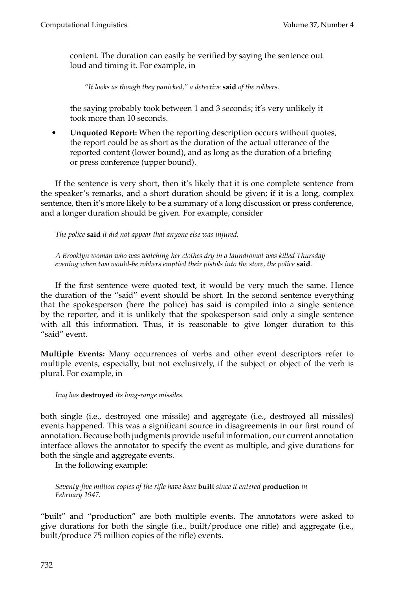content. The duration can easily be verified by saying the sentence out loud and timing it. For example, in

*"It looks as though they panicked," a detective* **said** *of the robbers.*

the saying probably took between 1 and 3 seconds; it's very unlikely it took more than 10 seconds.

- **Unquoted Report:** When the reporting description occurs without quotes, the report could be as short as the duration of the actual utterance of the reported content (lower bound), and as long as the duration of a briefing or press conference (upper bound).

If the sentence is very short, then it's likely that it is one complete sentence from the speaker's remarks, and a short duration should be given; if it is a long, complex sentence, then it's more likely to be a summary of a long discussion or press conference, and a longer duration should be given. For example, consider

*The police* **said** *it did not appear that anyone else was injured.*

*A Brooklyn woman who was watching her clothes dry in a laundromat was killed Thursday evening when two would-be robbers emptied their pistols into the store, the police* **said***.*

If the first sentence were quoted text, it would be very much the same. Hence the duration of the "said" event should be short. In the second sentence everything that the spokesperson (here the police) has said is compiled into a single sentence by the reporter, and it is unlikely that the spokesperson said only a single sentence with all this information. Thus, it is reasonable to give longer duration to this "said" event.

**Multiple Events:** Many occurrences of verbs and other event descriptors refer to multiple events, especially, but not exclusively, if the subject or object of the verb is plural. For example, in

*Iraq has* **destroyed** *its long-range missiles.*

both single (i.e., destroyed one missile) and aggregate (i.e., destroyed all missiles) events happened. This was a significant source in disagreements in our first round of annotation. Because both judgments provide useful information, our current annotation interface allows the annotator to specify the event as multiple, and give durations for both the single and aggregate events.

In the following example:

*Seventy-five million copies of the rifle have been* **built** *since it entered* **production** *in February 1947.*

"built" and "production" are both multiple events. The annotators were asked to give durations for both the single (i.e., built/produce one rifle) and aggregate (i.e., built/produce 75 million copies of the rifle) events.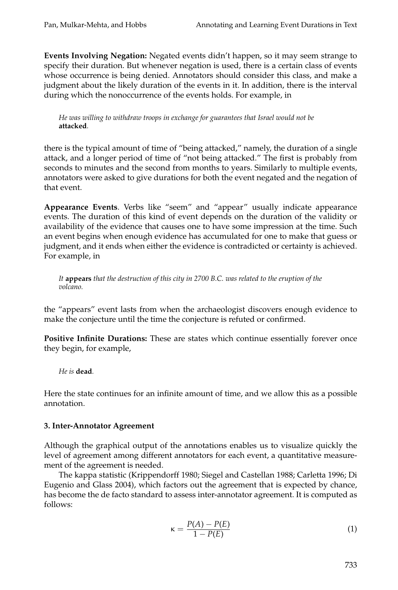**Events Involving Negation:** Negated events didn't happen, so it may seem strange to specify their duration. But whenever negation is used, there is a certain class of events whose occurrence is being denied. Annotators should consider this class, and make a judgment about the likely duration of the events in it. In addition, there is the interval during which the nonoccurrence of the events holds. For example, in

*He was willing to withdraw troops in exchange for guarantees that Israel would not be* **attacked***.*

there is the typical amount of time of "being attacked," namely, the duration of a single attack, and a longer period of time of "not being attacked." The first is probably from seconds to minutes and the second from months to years. Similarly to multiple events, annotators were asked to give durations for both the event negated and the negation of that event.

**Appearance Events**. Verbs like "seem" and "appear" usually indicate appearance events. The duration of this kind of event depends on the duration of the validity or availability of the evidence that causes one to have some impression at the time. Such an event begins when enough evidence has accumulated for one to make that guess or judgment, and it ends when either the evidence is contradicted or certainty is achieved. For example, in

*It* **appears** *that the destruction of this city in 2700 B.C. was related to the eruption of the volcano.*

the "appears" event lasts from when the archaeologist discovers enough evidence to make the conjecture until the time the conjecture is refuted or confirmed.

**Positive Infinite Durations:** These are states which continue essentially forever once they begin, for example,

*He is* **dead***.*

Here the state continues for an infinite amount of time, and we allow this as a possible annotation.

## **3. Inter-Annotator Agreement**

Although the graphical output of the annotations enables us to visualize quickly the level of agreement among different annotators for each event, a quantitative measurement of the agreement is needed.

The kappa statistic (Krippendorff 1980; Siegel and Castellan 1988; Carletta 1996; Di Eugenio and Glass 2004), which factors out the agreement that is expected by chance, has become the de facto standard to assess inter-annotator agreement. It is computed as follows:

$$
\kappa = \frac{P(A) - P(E)}{1 - P(E)}\tag{1}
$$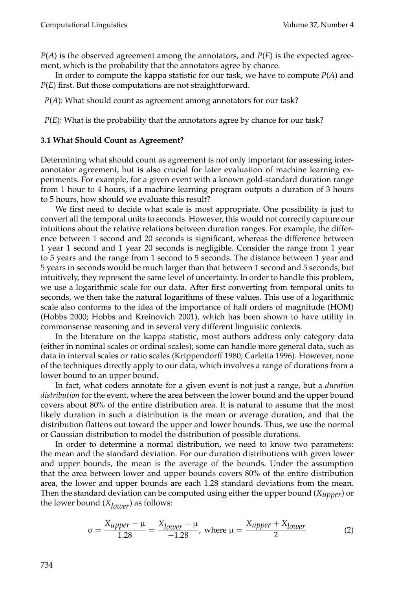$P(A)$  is the observed agreement among the annotators, and  $P(E)$  is the expected agreement, which is the probability that the annotators agree by chance.

In order to compute the kappa statistic for our task, we have to compute *P*(*A*) and *P*(*E*) first. But those computations are not straightforward.

*P*(*A*): What should count as agreement among annotators for our task?

*P*(*E*): What is the probability that the annotators agree by chance for our task?

## **3.1 What Should Count as Agreement?**

Determining what should count as agreement is not only important for assessing interannotator agreement, but is also crucial for later evaluation of machine learning experiments. For example, for a given event with a known gold-standard duration range from 1 hour to 4 hours, if a machine learning program outputs a duration of 3 hours to 5 hours, how should we evaluate this result?

We first need to decide what scale is most appropriate. One possibility is just to convert all the temporal units to seconds. However, this would not correctly capture our intuitions about the relative relations between duration ranges. For example, the difference between 1 second and 20 seconds is significant, whereas the difference between 1 year 1 second and 1 year 20 seconds is negligible. Consider the range from 1 year to 5 years and the range from 1 second to 5 seconds. The distance between 1 year and 5 years in seconds would be much larger than that between 1 second and 5 seconds, but intuitively, they represent the same level of uncertainty. In order to handle this problem, we use a logarithmic scale for our data. After first converting from temporal units to seconds, we then take the natural logarithms of these values. This use of a logarithmic scale also conforms to the idea of the importance of half orders of magnitude (HOM) (Hobbs 2000; Hobbs and Kreinovich 2001), which has been shown to have utility in commonsense reasoning and in several very different linguistic contexts.

In the literature on the kappa statistic, most authors address only category data (either in nominal scales or ordinal scales); some can handle more general data, such as data in interval scales or ratio scales (Krippendorff 1980; Carletta 1996). However, none of the techniques directly apply to our data, which involves a range of durations from a lower bound to an upper bound.

In fact, what coders annotate for a given event is not just a range, but a *duration distribution* for the event, where the area between the lower bound and the upper bound covers about 80% of the entire distribution area. It is natural to assume that the most likely duration in such a distribution is the mean or average duration, and that the distribution flattens out toward the upper and lower bounds. Thus, we use the normal or Gaussian distribution to model the distribution of possible durations.

In order to determine a normal distribution, we need to know two parameters: the mean and the standard deviation. For our duration distributions with given lower and upper bounds, the mean is the average of the bounds. Under the assumption that the area between lower and upper bounds covers 80% of the entire distribution area, the lower and upper bounds are each 1.28 standard deviations from the mean. Then the standard deviation can be computed using either the upper bound (*Xupper*) or the lower bound  $(X_{lower})$  as follows:

$$
\sigma = \frac{X_{\text{upper}} - \mu}{1.28} = \frac{X_{\text{lower}} - \mu}{-1.28}, \text{ where } \mu = \frac{X_{\text{upper}} + X_{\text{lower}}}{2} \tag{2}
$$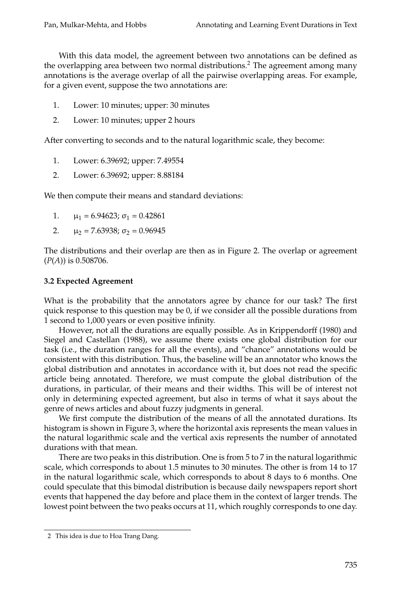With this data model, the agreement between two annotations can be defined as the overlapping area between two normal distributions.<sup>2</sup> The agreement among many annotations is the average overlap of all the pairwise overlapping areas. For example, for a given event, suppose the two annotations are:

- 1. Lower: 10 minutes; upper: 30 minutes
- 2. Lower: 10 minutes; upper 2 hours

After converting to seconds and to the natural logarithmic scale, they become:

- 1. Lower: 6.39692; upper: 7.49554
- 2. Lower: 6.39692; upper: 8.88184

We then compute their means and standard deviations:

- 1.  $\mu_1 = 6.94623$ ;  $\sigma_1 = 0.42861$
- 2.  $\mu_2 = 7.63938$ ;  $\sigma_2 = 0.96945$

The distributions and their overlap are then as in Figure 2. The overlap or agreement (*P*(*A*)) is 0.508706.

## **3.2 Expected Agreement**

What is the probability that the annotators agree by chance for our task? The first quick response to this question may be 0, if we consider all the possible durations from 1 second to 1,000 years or even positive infinity.

However, not all the durations are equally possible. As in Krippendorff (1980) and Siegel and Castellan (1988), we assume there exists one global distribution for our task (i.e., the duration ranges for all the events), and "chance" annotations would be consistent with this distribution. Thus, the baseline will be an annotator who knows the global distribution and annotates in accordance with it, but does not read the specific article being annotated. Therefore, we must compute the global distribution of the durations, in particular, of their means and their widths. This will be of interest not only in determining expected agreement, but also in terms of what it says about the genre of news articles and about fuzzy judgments in general.

We first compute the distribution of the means of all the annotated durations. Its histogram is shown in Figure 3, where the horizontal axis represents the mean values in the natural logarithmic scale and the vertical axis represents the number of annotated durations with that mean.

There are two peaks in this distribution. One is from 5 to 7 in the natural logarithmic scale, which corresponds to about 1.5 minutes to 30 minutes. The other is from 14 to 17 in the natural logarithmic scale, which corresponds to about 8 days to 6 months. One could speculate that this bimodal distribution is because daily newspapers report short events that happened the day before and place them in the context of larger trends. The lowest point between the two peaks occurs at 11, which roughly corresponds to one day.

<sup>2</sup> This idea is due to Hoa Trang Dang.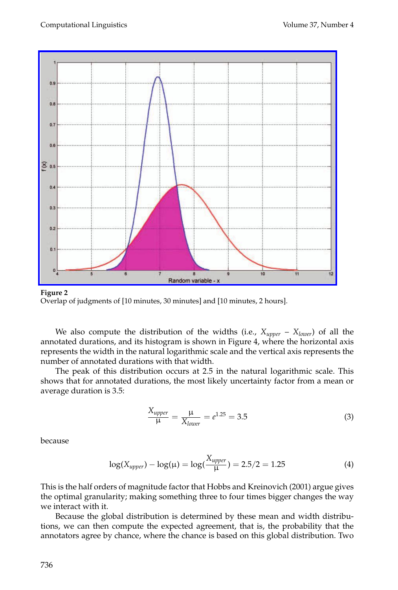#### [Computational Linguistics Volume 37, Num](http://www.mitpressjournals.org/action/showImage?doi=10.1162/COLI_a_00075&iName=master.img-001.jpg&w=359&h=281)ber 4



## **Figure 2**

Overlap of judgments of [10 minutes, 30 minutes] and [10 minutes, 2 hours].

We also compute the distribution of the widths (i.e.,  $X_{upper} - X_{lower}$ ) of all the annotated durations, and its histogram is shown in Figure 4, where the horizontal axis represents the width in the natural logarithmic scale and the vertical axis represents the number of annotated durations with that width.

The peak of this distribution occurs at 2.5 in the natural logarithmic scale. This shows that for annotated durations, the most likely uncertainty factor from a mean or average duration is 3.5:

$$
\frac{X_{upper}}{\mu} = \frac{\mu}{X_{lower}} = e^{1.25} = 3.5
$$
 (3)

because

$$
\log(X_{upper}) - \log(\mu) = \log(\frac{X_{upper}}{\mu}) = 2.5/2 = 1.25
$$
 (4)

This is the half orders of magnitude factor that Hobbs and Kreinovich (2001) argue gives the optimal granularity; making something three to four times bigger changes the way we interact with it.

Because the global distribution is determined by these mean and width distributions, we can then compute the expected agreement, that is, the probability that the annotators agree by chance, where the chance is based on this global distribution. Two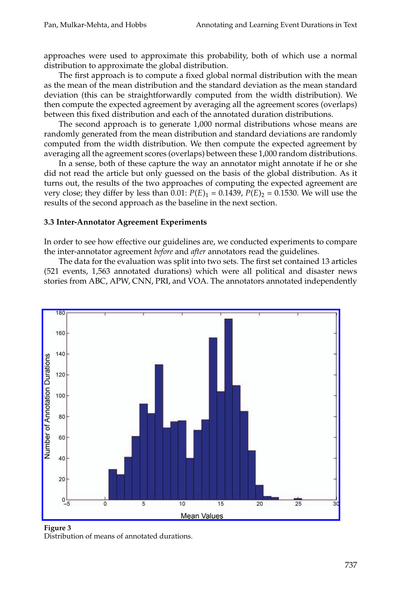approaches were used to approximate this probability, both of which use a normal distribution to approximate the global distribution.

The first approach is to compute a fixed global normal distribution with the mean as the mean of the mean distribution and the standard deviation as the mean standard deviation (this can be straightforwardly computed from the width distribution). We then compute the expected agreement by averaging all the agreement scores (overlaps) between this fixed distribution and each of the annotated duration distributions.

The second approach is to generate 1,000 normal distributions whose means are randomly generated from the mean distribution and standard deviations are randomly computed from the width distribution. We then compute the expected agreement by averaging all the agreement scores (overlaps) between these 1,000 random distributions.

In a sense, both of these capture the way an annotator might annotate if he or she did not read the article but only guessed on the basis of the global distribution. As it turns out, the results of the two approaches of computing the expected agreement are very close; they differ by less than 0.01:  $P(E)$ <sub>1</sub> = 0.1439,  $P(E)$ <sub>2</sub> = 0.1530. We will use the results of the second approach as the baseline in the next section.

#### **3.3 Inter-Annotator Agreement Experiments**

In order to see how effective our guidelines are, we conducted experiments to compare the inter-annotator agreement *before* and *after* annotators read the guidelines.

The data for the evaluation was split into two sets. The first set contained 13 articles [\(521 events, 1,563 annotated durations\) which were all political and disaster](http://www.mitpressjournals.org/action/showImage?doi=10.1162/COLI_a_00075&iName=master.img-002.jpg&w=359&h=253) news stories from ABC, APW, CNN, PRI, and VOA. The annotators annotated independently



**Figure 3** Distribution of means of annotated durations.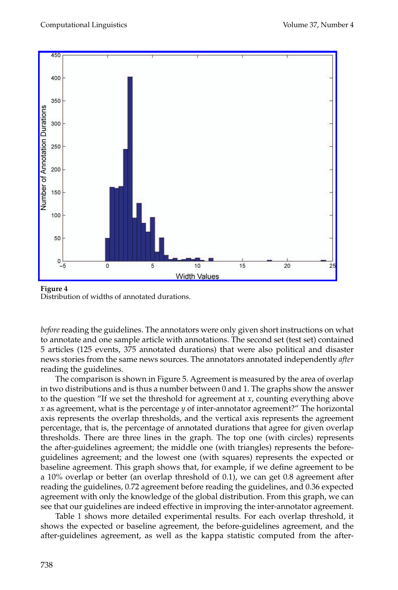[Computational Linguistics Volume 37, Num](http://www.mitpressjournals.org/action/showImage?doi=10.1162/COLI_a_00075&iName=master.img-003.jpg&w=359&h=275)ber 4



**Figure 4** Distribution of widths of annotated durations.

*before* reading the guidelines. The annotators were only given short instructions on what to annotate and one sample article with annotations. The second set (test set) contained 5 articles (125 events, 375 annotated durations) that were also political and disaster news stories from the same news sources. The annotators annotated independently *after* reading the guidelines.

The comparison is shown in Figure 5. Agreement is measured by the area of overlap in two distributions and is thus a number between 0 and 1. The graphs show the answer to the question "If we set the threshold for agreement at *x*, counting everything above *x* as agreement, what is the percentage *y* of inter-annotator agreement?" The horizontal axis represents the overlap thresholds, and the vertical axis represents the agreement percentage, that is, the percentage of annotated durations that agree for given overlap thresholds. There are three lines in the graph. The top one (with circles) represents the after-guidelines agreement; the middle one (with triangles) represents the beforeguidelines agreement; and the lowest one (with squares) represents the expected or baseline agreement. This graph shows that, for example, if we define agreement to be a 10% overlap or better (an overlap threshold of 0.1), we can get 0.8 agreement after reading the guidelines, 0.72 agreement before reading the guidelines, and 0.36 expected agreement with only the knowledge of the global distribution. From this graph, we can see that our guidelines are indeed effective in improving the inter-annotator agreement.

Table 1 shows more detailed experimental results. For each overlap threshold, it shows the expected or baseline agreement, the before-guidelines agreement, and the after-guidelines agreement, as well as the kappa statistic computed from the after-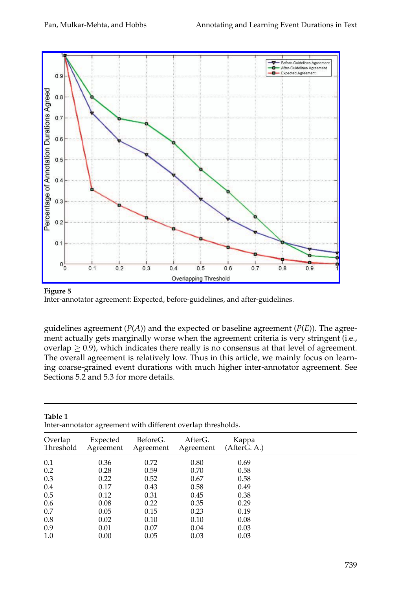[Pan, Mulkar-Mehta, and Hobbs Annotating and Learning Event Durations i](http://www.mitpressjournals.org/action/showImage?doi=10.1162/COLI_a_00075&iName=master.img-004.jpg&w=359&h=278)n Text



#### **Figure 5**

Inter-annotator agreement: Expected, before-guidelines, and after-guidelines.

guidelines agreement (*P*(*A*)) and the expected or baseline agreement (*P*(*E*)). The agreement actually gets marginally worse when the agreement criteria is very stringent (i.e., overlap  $\geq$  0.9), which indicates there really is no consensus at that level of agreement. The overall agreement is relatively low. Thus in this article, we mainly focus on learning coarse-grained event durations with much higher inter-annotator agreement. See Sections 5.2 and 5.3 for more details.

| Inter-annotator agreement with different overlap thresholds. |  |
|--------------------------------------------------------------|--|
|                                                              |  |

| Overlap<br>Threshold | Expected<br>Agreement | BeforeG.<br>Agreement | AfterG.<br>Agreement | Kappa<br>(AfterG. A.) |
|----------------------|-----------------------|-----------------------|----------------------|-----------------------|
| 0.1                  | 0.36                  | 0.72                  | 0.80                 | 0.69                  |
| 0.2                  | 0.28                  | 0.59                  | 0.70                 | 0.58                  |
| 0.3                  | 0.22                  | 0.52                  | 0.67                 | 0.58                  |
| 0.4                  | 0.17                  | 0.43                  | 0.58                 | 0.49                  |
| 0.5                  | 0.12                  | 0.31                  | 0.45                 | 0.38                  |
| 0.6                  | 0.08                  | 0.22                  | 0.35                 | 0.29                  |
| 0.7                  | 0.05                  | 0.15                  | 0.23                 | 0.19                  |
| 0.8                  | 0.02                  | 0.10                  | 0.10                 | 0.08                  |
| 0.9                  | 0.01                  | 0.07                  | 0.04                 | 0.03                  |
| 1.0                  | 0.00                  | 0.05                  | 0.03                 | 0.03                  |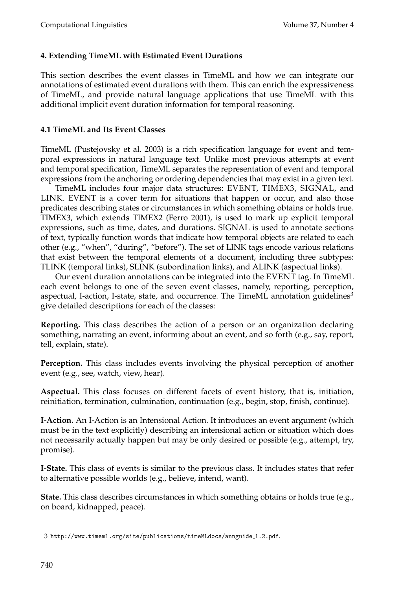# **4. Extending TimeML with Estimated Event Durations**

This section describes the event classes in TimeML and how we can integrate our annotations of estimated event durations with them. This can enrich the expressiveness of TimeML, and provide natural language applications that use TimeML with this additional implicit event duration information for temporal reasoning.

# **4.1 TimeML and Its Event Classes**

TimeML (Pustejovsky et al. 2003) is a rich specification language for event and temporal expressions in natural language text. Unlike most previous attempts at event and temporal specification, TimeML separates the representation of event and temporal expressions from the anchoring or ordering dependencies that may exist in a given text.

TimeML includes four major data structures: EVENT, TIMEX3, SIGNAL, and LINK. EVENT is a cover term for situations that happen or occur, and also those predicates describing states or circumstances in which something obtains or holds true. TIMEX3, which extends TIMEX2 (Ferro 2001), is used to mark up explicit temporal expressions, such as time, dates, and durations. SIGNAL is used to annotate sections of text, typically function words that indicate how temporal objects are related to each other (e.g., "when", "during", "before"). The set of LINK tags encode various relations that exist between the temporal elements of a document, including three subtypes: TLINK (temporal links), SLINK (subordination links), and ALINK (aspectual links).

Our event duration annotations can be integrated into the EVENT tag. In TimeML each event belongs to one of the seven event classes, namely, reporting, perception, aspectual, I-action, I-state, state, and occurrence. The TimeML annotation guidelines<sup>3</sup> give detailed descriptions for each of the classes:

**Reporting.** This class describes the action of a person or an organization declaring something, narrating an event, informing about an event, and so forth (e.g., say, report, tell, explain, state).

**Perception.** This class includes events involving the physical perception of another event (e.g., see, watch, view, hear).

**Aspectual.** This class focuses on different facets of event history, that is, initiation, reinitiation, termination, culmination, continuation (e.g., begin, stop, finish, continue).

**I-Action.** An I-Action is an Intensional Action. It introduces an event argument (which must be in the text explicitly) describing an intensional action or situation which does not necessarily actually happen but may be only desired or possible (e.g., attempt, try, promise).

**I-State.** This class of events is similar to the previous class. It includes states that refer to alternative possible worlds (e.g., believe, intend, want).

**State.** This class describes circumstances in which something obtains or holds true (e.g., on board, kidnapped, peace).

<sup>3</sup> http://www.timeml.org/site/publications/timeMLdocs/annguide 1.2.pdf.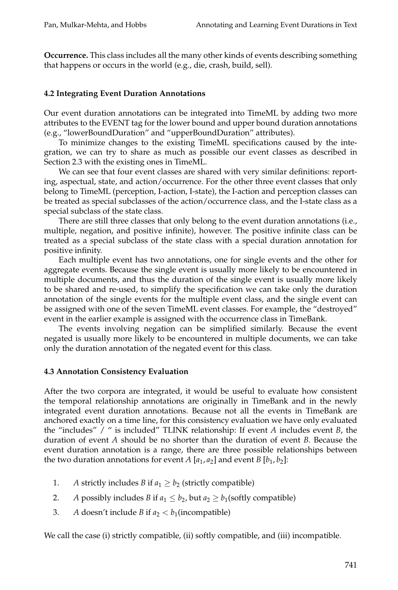**Occurrence.** This class includes all the many other kinds of events describing something that happens or occurs in the world (e.g., die, crash, build, sell).

## **4.2 Integrating Event Duration Annotations**

Our event duration annotations can be integrated into TimeML by adding two more attributes to the EVENT tag for the lower bound and upper bound duration annotations (e.g., "lowerBoundDuration" and "upperBoundDuration" attributes).

To minimize changes to the existing TimeML specifications caused by the integration, we can try to share as much as possible our event classes as described in Section 2.3 with the existing ones in TimeML.

We can see that four event classes are shared with very similar definitions: reporting, aspectual, state, and action/occurrence. For the other three event classes that only belong to TimeML (perception, I-action, I-state), the I-action and perception classes can be treated as special subclasses of the action/occurrence class, and the I-state class as a special subclass of the state class.

There are still three classes that only belong to the event duration annotations (i.e., multiple, negation, and positive infinite), however. The positive infinite class can be treated as a special subclass of the state class with a special duration annotation for positive infinity.

Each multiple event has two annotations, one for single events and the other for aggregate events. Because the single event is usually more likely to be encountered in multiple documents, and thus the duration of the single event is usually more likely to be shared and re-used, to simplify the specification we can take only the duration annotation of the single events for the multiple event class, and the single event can be assigned with one of the seven TimeML event classes. For example, the "destroyed" event in the earlier example is assigned with the occurrence class in TimeBank.

The events involving negation can be simplified similarly. Because the event negated is usually more likely to be encountered in multiple documents, we can take only the duration annotation of the negated event for this class.

## **4.3 Annotation Consistency Evaluation**

After the two corpora are integrated, it would be useful to evaluate how consistent the temporal relationship annotations are originally in TimeBank and in the newly integrated event duration annotations. Because not all the events in TimeBank are anchored exactly on a time line, for this consistency evaluation we have only evaluated the "includes" / " is included" TLINK relationship: If event *A* includes event *B*, the duration of event *A* should be no shorter than the duration of event *B*. Because the event duration annotation is a range, there are three possible relationships between the two duration annotations for event *A*  $[a_1, a_2]$  and event *B*  $[b_1, b_2]$ :

- 1. *A* strictly includes *B* if  $a_1 \ge b_2$  (strictly compatible)
- 2. *A* possibly includes *B* if  $a_1 \leq b_2$ , but  $a_2 \geq b_1$  (softly compatible)
- 3. *A* doesn't include *B* if  $a_2 < b_1$  (incompatible)

We call the case (i) strictly compatible, (ii) softly compatible, and (iii) incompatible.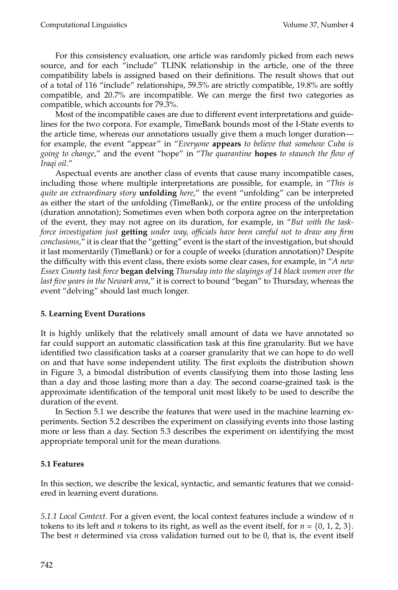For this consistency evaluation, one article was randomly picked from each news source, and for each "include" TLINK relationship in the article, one of the three compatibility labels is assigned based on their definitions. The result shows that out of a total of 116 "include" relationships, 59.5% are strictly compatible, 19.8% are softly compatible, and 20.7% are incompatible. We can merge the first two categories as compatible, which accounts for 79.3%.

Most of the incompatible cases are due to different event interpretations and guidelines for the two corpora. For example, TimeBank bounds most of the I-State events to the article time, whereas our annotations usually give them a much longer duration for example, the event "appear" in "*Everyone* **appears** *to believe that somehow Cuba is going to change*," and the event "hope" in "*The quarantine* **hopes** *to staunch the flow of Iraqi oil*."

Aspectual events are another class of events that cause many incompatible cases, including those where multiple interpretations are possible, for example, in "*This is quite an extraordinary story* **unfolding** *here*," the event "unfolding" can be interpreted as either the start of the unfolding (TimeBank), or the entire process of the unfolding (duration annotation); Sometimes even when both corpora agree on the interpretation of the event, they may not agree on its duration, for example, in "*But with the taskforce investigation just* **getting** *under way, officials have been careful not to draw any firm conclusions*," it is clear that the "getting" event is the start of the investigation, but should it last momentarily (TimeBank) or for a couple of weeks (duration annotation)? Despite the difficulty with this event class, there exists some clear cases, for example, in "*A new Essex County task force* **began delving** *Thursday into the slayings of 14 black women over the last five years in the Newark area*," it is correct to bound "began" to Thursday, whereas the event "delving" should last much longer.

# **5. Learning Event Durations**

It is highly unlikely that the relatively small amount of data we have annotated so far could support an automatic classification task at this fine granularity. But we have identified two classification tasks at a coarser granularity that we can hope to do well on and that have some independent utility. The first exploits the distribution shown in Figure 3, a bimodal distribution of events classifying them into those lasting less than a day and those lasting more than a day. The second coarse-grained task is the approximate identification of the temporal unit most likely to be used to describe the duration of the event.

In Section 5.1 we describe the features that were used in the machine learning experiments. Section 5.2 describes the experiment on classifying events into those lasting more or less than a day. Section 5.3 describes the experiment on identifying the most appropriate temporal unit for the mean durations.

# **5.1 Features**

In this section, we describe the lexical, syntactic, and semantic features that we considered in learning event durations.

*5.1.1 Local Context.* For a given event, the local context features include a window of *n* tokens to its left and *n* tokens to its right, as well as the event itself, for  $n = \{0, 1, 2, 3\}$ . The best *n* determined via cross validation turned out to be 0, that is, the event itself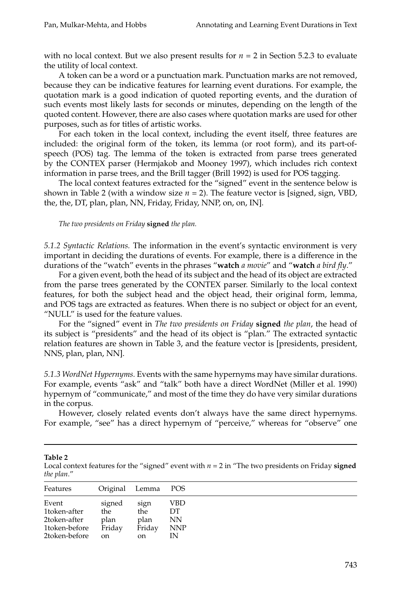with no local context. But we also present results for  $n = 2$  in Section 5.2.3 to evaluate the utility of local context.

A token can be a word or a punctuation mark. Punctuation marks are not removed, because they can be indicative features for learning event durations. For example, the quotation mark is a good indication of quoted reporting events, and the duration of such events most likely lasts for seconds or minutes, depending on the length of the quoted content. However, there are also cases where quotation marks are used for other purposes, such as for titles of artistic works.

For each token in the local context, including the event itself, three features are included: the original form of the token, its lemma (or root form), and its part-ofspeech (POS) tag. The lemma of the token is extracted from parse trees generated by the CONTEX parser (Hermjakob and Mooney 1997), which includes rich context information in parse trees, and the Brill tagger (Brill 1992) is used for POS tagging.

The local context features extracted for the "signed" event in the sentence below is shown in Table 2 (with a window size  $n = 2$ ). The feature vector is [signed, sign, VBD, the, the, DT, plan, plan, NN, Friday, Friday, NNP, on, on, IN].

*The two presidents on Friday* **signed** *the plan.*

*5.1.2 Syntactic Relations.* The information in the event's syntactic environment is very important in deciding the durations of events. For example, there is a difference in the durations of the "watch" events in the phrases "**watch** *a movie*" and "**watch** *a bird fly*."

For a given event, both the head of its subject and the head of its object are extracted from the parse trees generated by the CONTEX parser. Similarly to the local context features, for both the subject head and the object head, their original form, lemma, and POS tags are extracted as features. When there is no subject or object for an event, "NULL" is used for the feature values.

For the "signed" event in *The two presidents on Friday* **signed** *the plan*, the head of its subject is "presidents" and the head of its object is "plan." The extracted syntactic relation features are shown in Table 3, and the feature vector is [presidents, president, NNS, plan, plan, NN].

*5.1.3 WordNet Hypernyms.* Events with the same hypernyms may have similar durations. For example, events "ask" and "talk" both have a direct WordNet (Miller et al. 1990) hypernym of "communicate," and most of the time they do have very similar durations in the corpus.

However, closely related events don't always have the same direct hypernyms. For example, "see" has a direct hypernym of "perceive," whereas for "observe" one

**Table 2**

Local context features for the "signed" event with *n* = 2 in "The two presidents on Friday **signed** *the plan*."

| Features      | Original Lemma |        | POS        |
|---------------|----------------|--------|------------|
| Event         | signed         | sign   | VBD        |
| 1token-after  | the            | the    | DТ         |
| 2token-after  | plan           | plan   | NΝ         |
| 1token-before | Friday         | Friday | <b>NNP</b> |
| 2token-before | <sub>on</sub>  | on     | ΙN         |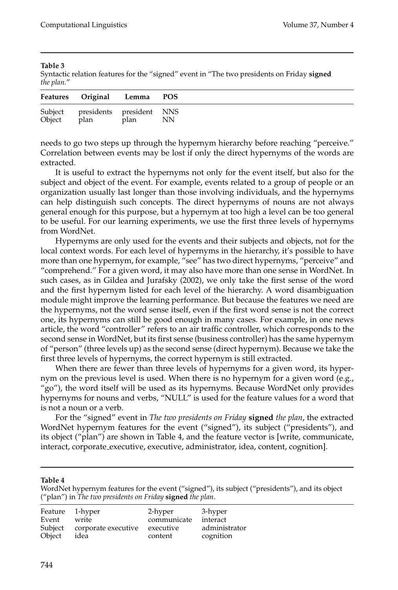### **Table 3**

Syntactic relation features for the "signed" event in "The two presidents on Friday **signed** *the plan*."

| Features Original Lemma POS                             |  |
|---------------------------------------------------------|--|
| Subject presidents president NNS<br>Object plan plan NN |  |

needs to go two steps up through the hypernym hierarchy before reaching "perceive." Correlation between events may be lost if only the direct hypernyms of the words are extracted.

It is useful to extract the hypernyms not only for the event itself, but also for the subject and object of the event. For example, events related to a group of people or an organization usually last longer than those involving individuals, and the hypernyms can help distinguish such concepts. The direct hypernyms of nouns are not always general enough for this purpose, but a hypernym at too high a level can be too general to be useful. For our learning experiments, we use the first three levels of hypernyms from WordNet.

Hypernyms are only used for the events and their subjects and objects, not for the local context words. For each level of hypernyms in the hierarchy, it's possible to have more than one hypernym, for example, "see" has two direct hypernyms, "perceive" and "comprehend." For a given word, it may also have more than one sense in WordNet. In such cases, as in Gildea and Jurafsky (2002), we only take the first sense of the word and the first hypernym listed for each level of the hierarchy. A word disambiguation module might improve the learning performance. But because the features we need are the hypernyms, not the word sense itself, even if the first word sense is not the correct one, its hypernyms can still be good enough in many cases. For example, in one news article, the word "controller" refers to an air traffic controller, which corresponds to the second sense in WordNet, but its first sense (business controller) has the same hypernym of "person" (three levels up) as the second sense (direct hypernym). Because we take the first three levels of hypernyms, the correct hypernym is still extracted.

When there are fewer than three levels of hypernyms for a given word, its hypernym on the previous level is used. When there is no hypernym for a given word (e.g., "go"), the word itself will be used as its hypernyms. Because WordNet only provides hypernyms for nouns and verbs, "NULL" is used for the feature values for a word that is not a noun or a verb.

For the "signed" event in *The two presidents on Friday* **signed** *the plan*, the extracted WordNet hypernym features for the event ("signed"), its subject ("presidents"), and its object ("plan") are shown in Table 4, and the feature vector is [write, communicate, interact, corporate executive, executive, administrator, idea, content, cognition].

#### **Table 4**

WordNet hypernym features for the event ("signed"), its subject ("presidents"), and its object ("plan") in *The two presidents on Friday* **signed** *the plan*.

| Feature 1-hyper<br>Event<br>Object | write<br>Subject corporate executive executive<br>idea | 2-hyper<br>communicate<br>content | 3-hyper<br>interact<br>administrator<br>cognition |
|------------------------------------|--------------------------------------------------------|-----------------------------------|---------------------------------------------------|
|                                    |                                                        |                                   |                                                   |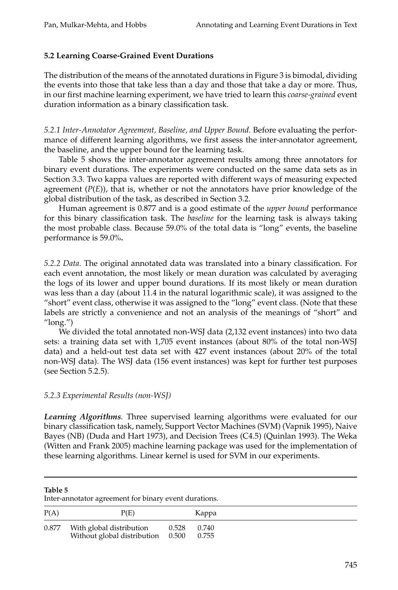# **5.2 Learning Coarse-Grained Event Durations**

The distribution of the means of the annotated durations in Figure 3 is bimodal, dividing the events into those that take less than a day and those that take a day or more. Thus, in our first machine learning experiment, we have tried to learn this *coarse-grained* event duration information as a binary classification task.

*5.2.1 Inter-Annotator Agreement, Baseline, and Upper Bound.* Before evaluating the performance of different learning algorithms, we first assess the inter-annotator agreement, the baseline, and the upper bound for the learning task.

Table 5 shows the inter-annotator agreement results among three annotators for binary event durations. The experiments were conducted on the same data sets as in Section 3.3. Two kappa values are reported with different ways of measuring expected agreement  $(P(E))$ , that is, whether or not the annotators have prior knowledge of the global distribution of the task, as described in Section 3.2.

Human agreement is 0.877 and is a good estimate of the *upper bound* performance for this binary classification task. The *baseline* for the learning task is always taking the most probable class. Because 59.0% of the total data is "long" events, the baseline performance is 59.0%**.**

*5.2.2 Data.* The original annotated data was translated into a binary classification. For each event annotation, the most likely or mean duration was calculated by averaging the logs of its lower and upper bound durations. If its most likely or mean duration was less than a day (about 11.4 in the natural logarithmic scale), it was assigned to the "short" event class, otherwise it was assigned to the "long" event class. (Note that these labels are strictly a convenience and not an analysis of the meanings of "short" and "long.")

We divided the total annotated non-WSJ data (2,132 event instances) into two data sets: a training data set with 1,705 event instances (about 80% of the total non-WSJ data) and a held-out test data set with 427 event instances (about 20% of the total non-WSJ data). The WSJ data (156 event instances) was kept for further test purposes (see Section 5.2.5).

## *5.2.3 Experimental Results (non-WSJ)*

*Learning Algorithms.* Three supervised learning algorithms were evaluated for our binary classification task, namely, Support Vector Machines (SVM) (Vapnik 1995), Naive Bayes (NB) (Duda and Hart 1973), and Decision Trees (C4.5) (Quinlan 1993). The Weka (Witten and Frank 2005) machine learning package was used for the implementation of these learning algorithms. Linear kernel is used for SVM in our experiments.

**Table 5**

Inter-annotator agreement for binary event durations.

| P(A)  | P(E)                                                          |       | Kappa          |
|-------|---------------------------------------------------------------|-------|----------------|
| 0.877 | With global distribution<br>Without global distribution 0.500 | 0.528 | 0.740<br>0.755 |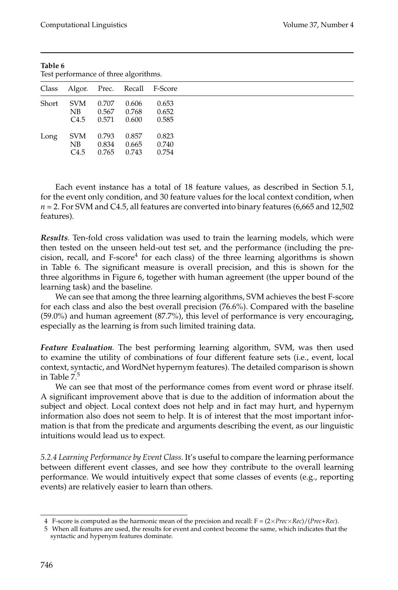|                          |                         | $\epsilon$              |                                      |
|--------------------------|-------------------------|-------------------------|--------------------------------------|
|                          |                         |                         |                                      |
| <b>SVM</b>               | 0.707                   | 0.606                   | 0.653<br>0.652                       |
| C4.5                     | 0.571                   | 0.600                   | 0.585                                |
| <b>SVM</b><br>NB<br>C4.5 | 0.793<br>0.834<br>0.765 | 0.857<br>0.665<br>0.743 | 0.823<br>0.740<br>0.754              |
|                          | NB                      | 0.567                   | Algor. Prec. Recall F-Score<br>0.768 |

| Table 6 |                                       |
|---------|---------------------------------------|
|         | Test performance of three algorithms. |

Each event instance has a total of 18 feature values, as described in Section 5.1, for the event only condition, and 30 feature values for the local context condition, when *n* = 2. For SVM and C4.5, all features are converted into binary features (6,665 and 12,502 features).

*Results.* Ten-fold cross validation was used to train the learning models, which were then tested on the unseen held-out test set, and the performance (including the precision, recall, and  $F-score<sup>4</sup>$  for each class) of the three learning algorithms is shown in Table 6. The significant measure is overall precision, and this is shown for the three algorithms in Figure 6, together with human agreement (the upper bound of the learning task) and the baseline.

We can see that among the three learning algorithms, SVM achieves the best F-score for each class and also the best overall precision (76.6%). Compared with the baseline (59.0%) and human agreement (87.7%), this level of performance is very encouraging, especially as the learning is from such limited training data.

*Feature Evaluation.* The best performing learning algorithm, SVM, was then used to examine the utility of combinations of four different feature sets (i.e., event, local context, syntactic, and WordNet hypernym features). The detailed comparison is shown in Table 7.<sup>5</sup>

We can see that most of the performance comes from event word or phrase itself. A significant improvement above that is due to the addition of information about the subject and object. Local context does not help and in fact may hurt, and hypernym information also does not seem to help. It is of interest that the most important information is that from the predicate and arguments describing the event, as our linguistic intuitions would lead us to expect.

*5.2.4 Learning Performance by Event Class.* It's useful to compare the learning performance between different event classes, and see how they contribute to the overall learning performance. We would intuitively expect that some classes of events (e.g., reporting events) are relatively easier to learn than others.

<sup>4</sup> F-score is computed as the harmonic mean of the precision and recall: F = (2×*Prec*×*Rec*)/(*Prec*+*Rec*).

<sup>5</sup> When all features are used, the results for event and context become the same, which indicates that the syntactic and hypenym features dominate.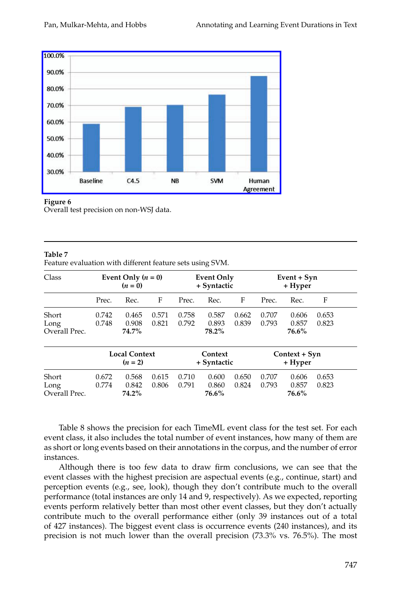[Pan, Mulkar-Mehta, and Hobbs Annotating and Learning](http://www.mitpressjournals.org/action/showImage?doi=10.1162/COLI_a_00075&iName=master.img-005.jpg&w=287&h=169) Event Durations in Text



#### **Figure 6**

Overall test precision on non-WSJ data.

#### **Table 7**

Feature evaluation with different feature sets using SVM.

| Class                          |                | Event Only $(n = 0)$<br>$(n=0)$   |                |                | Event Only<br>+ Syntactic |                |                | Event + Syn<br>+ Hyper   |                |
|--------------------------------|----------------|-----------------------------------|----------------|----------------|---------------------------|----------------|----------------|--------------------------|----------------|
|                                | Prec.          | Rec.                              | F              | Prec.          | Rec.                      | F              | Prec.          | Rec.                     | F              |
| Short<br>Long<br>Overall Prec. | 0.742<br>0.748 | 0.465<br>0.908<br>74.7%           | 0.571<br>0.821 | 0.758<br>0.792 | 0.587<br>0.893<br>78.2%   | 0.662<br>0.839 | 0.707<br>0.793 | 0.606<br>0.857<br>76.6%  | 0.653<br>0.823 |
|                                |                | <b>Local Context</b><br>$(n = 2)$ |                |                | Context<br>+ Syntactic    |                |                | Context + Syn<br>+ Hyper |                |
| Short                          | 0.672          | 0.568                             | 0.615          | 0.710          | 0.600                     | 0.650          | 0.707          | 0.606                    | 0.653          |

Long 0.774 0.842 0.806 0.791 0.860 0.824 0.793 0.857 0.823 Overall Prec. **74.2% 76.6% 76.6%**

Table 8 shows the precision for each TimeML event class for the test set. For each event class, it also includes the total number of event instances, how many of them are as short or long events based on their annotations in the corpus, and the number of error instances.

Although there is too few data to draw firm conclusions, we can see that the event classes with the highest precision are aspectual events (e.g., continue, start) and perception events (e.g., see, look), though they don't contribute much to the overall performance (total instances are only 14 and 9, respectively). As we expected, reporting events perform relatively better than most other event classes, but they don't actually contribute much to the overall performance either (only 39 instances out of a total of 427 instances). The biggest event class is occurrence events (240 instances), and its precision is not much lower than the overall precision (73.3% vs. 76.5%). The most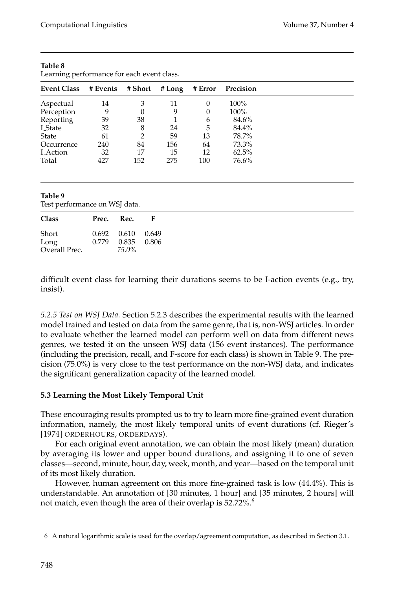| <b>Event Class</b> | # Events | # Short        | # Long | # Error | Precision |
|--------------------|----------|----------------|--------|---------|-----------|
| Aspectual          | 14       | 3              | 11     | 0       | 100%      |
| Perception         | 9        | 0              | 9      | 0       | $100\%$   |
| Reporting          | 39       | 38             |        | 6       | 84.6%     |
| <b>I</b> _State    | 32       | 8              | 24     | 5       | 84.4%     |
| <b>State</b>       | 61       | $\overline{2}$ | 59     | 13      | 78.7%     |
| Occurrence         | 240      | 84             | 156    | 64      | 73.3%     |
| <b>LAction</b>     | 32       | 17             | 15     | 12      | 62.5%     |
| Total              | 427      | 152            | 275    | 100     | 76.6%     |

| Table 8 |                                            |  |  |
|---------|--------------------------------------------|--|--|
|         | Learning performance for each event class. |  |  |

| Table 9                       |  |
|-------------------------------|--|
| Test performance on WSJ data. |  |

| Class                          |       | Prec. Rec.                                      | F |
|--------------------------------|-------|-------------------------------------------------|---|
| Short<br>Long<br>Overall Prec. | 0.779 | $0.692$ $0.610$ $0.649$<br>0.835 0.806<br>75.0% |   |

difficult event class for learning their durations seems to be I-action events (e.g., try, insist).

*5.2.5 Test on WSJ Data.* Section 5.2.3 describes the experimental results with the learned model trained and tested on data from the same genre, that is, non-WSJ articles. In order to evaluate whether the learned model can perform well on data from different news genres, we tested it on the unseen WSJ data (156 event instances). The performance (including the precision, recall, and F-score for each class) is shown in Table 9. The precision (75.0%) is very close to the test performance on the non-WSJ data, and indicates the significant generalization capacity of the learned model.

# **5.3 Learning the Most Likely Temporal Unit**

These encouraging results prompted us to try to learn more fine-grained event duration information, namely, the most likely temporal units of event durations (cf. Rieger's [1974] ORDERHOURS, ORDERDAYS).

For each original event annotation, we can obtain the most likely (mean) duration by averaging its lower and upper bound durations, and assigning it to one of seven classes—second, minute, hour, day, week, month, and year—based on the temporal unit of its most likely duration.

However, human agreement on this more fine-grained task is low (44.4%). This is understandable. An annotation of [30 minutes, 1 hour] and [35 minutes, 2 hours] will not match, even though the area of their overlap is 52.72%.<sup>6</sup>

<sup>6</sup> A natural logarithmic scale is used for the overlap/agreement computation, as described in Section 3.1.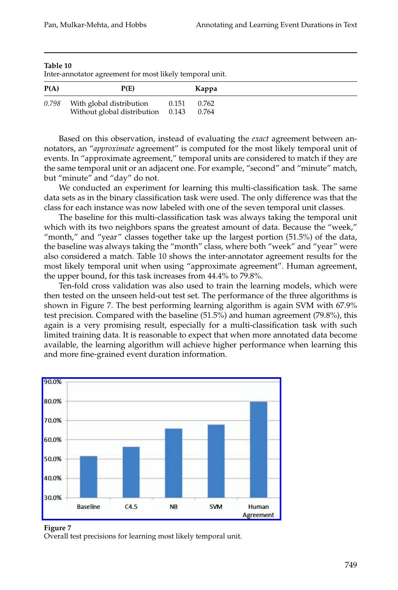| Table 10<br>Inter-annotator agreement for most likely temporal unit. |                                |       |       |  |  |  |  |  |  |
|----------------------------------------------------------------------|--------------------------------|-------|-------|--|--|--|--|--|--|
| P(A)                                                                 | P(E)                           |       | Kappa |  |  |  |  |  |  |
|                                                                      | 0.798 With global distribution | 0.151 | 0.762 |  |  |  |  |  |  |

Without global distribution 0.143 0.764

Based on this observation, instead of evaluating the *exact* agreement between annotators, an "*approximate* agreement" is computed for the most likely temporal unit of events. In "approximate agreement," temporal units are considered to match if they are the same temporal unit or an adjacent one. For example, "second" and "minute" match, but "minute" and "day" do not.

We conducted an experiment for learning this multi-classification task. The same data sets as in the binary classification task were used. The only difference was that the class for each instance was now labeled with one of the seven temporal unit classes.

The baseline for this multi-classification task was always taking the temporal unit which with its two neighbors spans the greatest amount of data. Because the "week," "month," and "year" classes together take up the largest portion (51.5%) of the data, the baseline was always taking the "month" class, where both "week" and "year" were also considered a match. Table 10 shows the inter-annotator agreement results for the most likely temporal unit when using "approximate agreement". Human agreement, the upper bound, for this task increases from 44.4% to 79.8%.

Ten-fold cross validation was also used to train the learning models, which were then tested on the unseen held-out test set. The performance of the three algorithms is shown in Figure 7. The best performing learning algorithm is again SVM with 67.9% test precision. Compared with the baseline (51.5%) and human agreement (79.8%), this [again is a very promising result, especially for a multi-classific](http://www.mitpressjournals.org/action/showImage?doi=10.1162/COLI_a_00075&iName=master.img-006.jpg&w=287&h=169)ation task with such limited training data. It is reasonable to expect that when more annotated data become available, the learning algorithm will achieve higher performance when learning this and more fine-grained event duration information.



**Figure 7**

Overall test precisions for learning most likely temporal unit.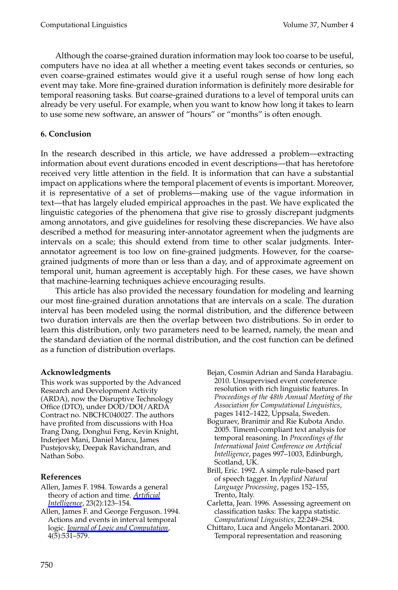Computational Linguistics Volume 37, Number 4

Although the coarse-grained duration information may look too coarse to be useful, computers have no idea at all whether a meeting event takes seconds or centuries, so even coarse-grained estimates would give it a useful rough sense of how long each event may take. More fine-grained duration information is definitely more desirable for temporal reasoning tasks. But coarse-grained durations to a level of temporal units can already be very useful. For example, when you want to know how long it takes to learn to use some new software, an answer of "hours" or "months" is often enough.

## **6. Conclusion**

In the research described in this article, we have addressed a problem—extracting information about event durations encoded in event descriptions—that has heretofore received very little attention in the field. It is information that can have a substantial impact on applications where the temporal placement of events is important. Moreover, it is representative of a set of problems—making use of the vague information in text—that has largely eluded empirical approaches in the past. We have explicated the linguistic categories of the phenomena that give rise to grossly discrepant judgments among annotators, and give guidelines for resolving these discrepancies. We have also described a method for measuring inter-annotator agreement when the judgments are intervals on a scale; this should extend from time to other scalar judgments. Interannotator agreement is too low on fine-grained judgments. However, for the coarsegrained judgments of more than or less than a day, and of approximate agreement on temporal unit, human agreement is acceptably high. For these cases, we have shown that machine-learning techniques achieve encouraging results.

This article has also provided the necessary foundation for modeling and learning our most fine-grained duration annotations that are intervals on a scale. The duration interval has been modeled using the normal distribution, and the difference between two duration intervals are then the overlap between two distributions. So in order to learn this distribution, only two parameters need to be learned, namely, the mean and the standard deviation of the normal distribution, and the cost function can be defined as a function of distribution overlaps.

#### **Acknowledgments**

This work was supported by the Advanced Research and Development Activity (ARDA), now the Disruptive Technology Office (DTO), under DOD/DOI/ARDA Contract no. NBCHC040027. The authors have profited from discussions with Hoa Trang Dang, Donghui Feng, Kevin Knight, Inderjeet Mani, Daniel Marcu, James Pustejovsky, Deepak Ravichandran, and Nathan Sobo.

#### **References**

- Allen, James F. 1984. Towards a general theory of action and time. *Artificial Intelligence*, 23(2):123–154.
- Allen, James F. and George Ferguson. 1994. Actions and events in interval temporal logic. *Journal of Logic and Computation*,  $4(5):531 - 579.$
- Bejan, Cosmin Adrian and Sanda Harabagiu. 2010. Unsupervised event coreference resolution with rich linguistic features. In *Proceedings of the 48th Annual Meeting of the Association for Computational Linguistics*, pages 1412–1422, Uppsala, Sweden.
- Boguraev, Branimir and Rie Kubota Ando. 2005. Timeml-compliant text analysis for temporal reasoning. In *Proceedings of the International Joint Conference on Artificial Intelligence*, pages 997–1003, Edinburgh, Scotland, UK.
- Brill, Eric. 1992. A simple rule-based part of speech tagger. In *Applied Natural Language Processing*, pages 152–155, Trento, Italy.
- Carletta, Jean. 1996. Assessing agreement on classification tasks: The kappa statistic. *Computational Linguistics*, 22:249–254.
- Chittaro, Luca and Angelo Montanari. 2000. Temporal representation and reasoning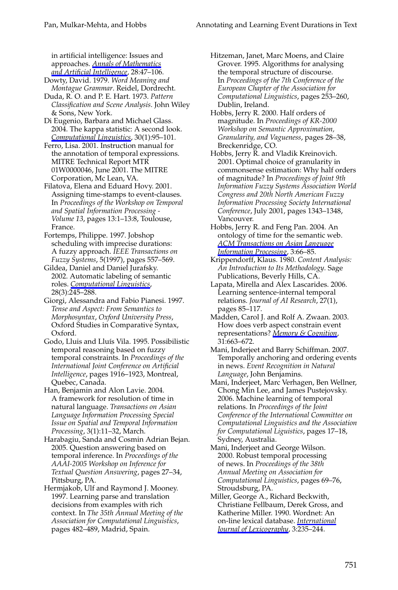in artificial intelligence: Issues and approaches. *Annals of Mathematics and Artificial Intelligence*, 28:47–106.

- Dowty, David. 1979. *Word Meaning and Montague Grammar*. Reidel, Dordrecht.
- Duda, R. O. and P. E. Hart. 1973. *Pattern Classification and Scene Analysis*. John Wiley & Sons, New York.
- Di Eugenio, Barbara and Michael Glass. 2004. The kappa statistic: A second look. *Computational Linguistics*, 30(1):95–101.
- Ferro, Lisa. 2001. Instruction manual for the annotation of temporal expressions. MITRE Technical Report MTR 01W0000046, June 2001. The MITRE Corporation, Mc Lean, VA.
- Filatova, Elena and Eduard Hovy. 2001. Assigning time-stamps to event-clauses. In *Proceedings of the Workshop on Temporal and Spatial Information Processing - Volume 13*, pages 13:1–13:8, Toulouse, France.
- Fortemps, Philippe. 1997. Jobshop scheduling with imprecise durations: A fuzzy approach. *IEEE Transactions on Fuzzy Systems*, 5(1997), pages 557–569.
- Gildea, Daniel and Daniel Jurafsky. 2002. Automatic labeling of semantic roles. *Computational Linguistics*, 28(3):245–288.
- Giorgi, Alessandra and Fabio Pianesi. 1997. *Tense and Aspect: From Semantics to Morphosyntax*, *Oxford University Press*, Oxford Studies in Comparative Syntax, Oxford.
- Godo, Lluis and Lluís Vila. 1995. Possibilistic temporal reasoning based on fuzzy temporal constraints. In *Proceedings of the International Joint Conference on Artificial Intelligence*, pages 1916–1923, Montreal, Quebec, Canada.
- Han, Benjamin and Alon Lavie. 2004. A framework for resolution of time in natural language. *Transactions on Asian Language Information Processing Special Issue on Spatial and Temporal Information Processing*, 3(1):11–32, March.
- Harabagiu, Sanda and Cosmin Adrian Bejan. 2005. Question answering based on temporal inference. In *Proceedings of the AAAI-2005 Workshop on Inference for Textual Question Answering*, pages 27–34, Pittsburg, PA.
- Hermjakob, Ulf and Raymond J. Mooney. 1997. Learning parse and translation decisions from examples with rich context. In *The 35th Annual Meeting of the Association for Computational Linguistics*, pages 482–489, Madrid, Spain.
- Hitzeman, Janet, Marc Moens, and Claire Grover. 1995. Algorithms for analysing the temporal structure of discourse. In *Proceedings of the 7th Conference of the European Chapter of the Association for Computational Linguistics*, pages 253–260, Dublin, Ireland.
- Hobbs, Jerry R. 2000. Half orders of magnitude. In *Proceedings of KR-2000 Workshop on Semantic Approximation, Granularity, and Vagueness*, pages 28–38, Breckenridge, CO.
- Hobbs, Jerry R. and Vladik Kreinovich. 2001. Optimal choice of granularity in commonsense estimation: Why half orders of magnitude? In *Proceedings of Joint 9th Information Fuzzy Systems Association World Congress and 20th North American Fuzzy Information Processing Society International Conference*, July 2001, pages 1343–1348, Vancouver.
- Hobbs, Jerry R. and Feng Pan. 2004. An ontology of time for the semantic web. *ACM Transactions on Asian Language Information Processing*, 3:66–85.
- Krippendorff, Klaus. 1980. *Content Analysis: An Introduction to Its Methodology*. Sage Publications, Beverly Hills, CA.
- Lapata, Mirella and Alex Lascarides. 2006. Learning sentence-internal temporal relations. *Journal of AI Research*, 27(1), pages 85–117.
- Madden, Carol J. and Rolf A. Zwaan. 2003. How does verb aspect constrain event representations? *Memory & Cognition*, 31:663–672.
- Mani, Inderjeet and Barry Schiffman. 2007. Temporally anchoring and ordering events in news. *Event Recognition in Natural Language*, John Benjamins.
- Mani, Inderjeet, Marc Verhagen, Ben Wellner, Chong Min Lee, and James Pustejovsky. 2006. Machine learning of temporal relations. In *Proceedings of the Joint Conference of the International Committee on Computational Linguistics and the Association for Computational Liguistics*, pages 17–18, Sydney, Australia.
- Mani, Inderjeet and George Wilson. 2000. Robust temporal processing of news. In *Proceedings of the 38th Annual Meeting on Association for Computational Linguistics*, pages 69–76, Stroudsburg, PA.
- Miller, George A., Richard Beckwith, Christiane Fellbaum, Derek Gross, and Katherine Miller. 1990. Wordnet: An on-line lexical database. *International Journal of Lexicography*, 3:235–244.